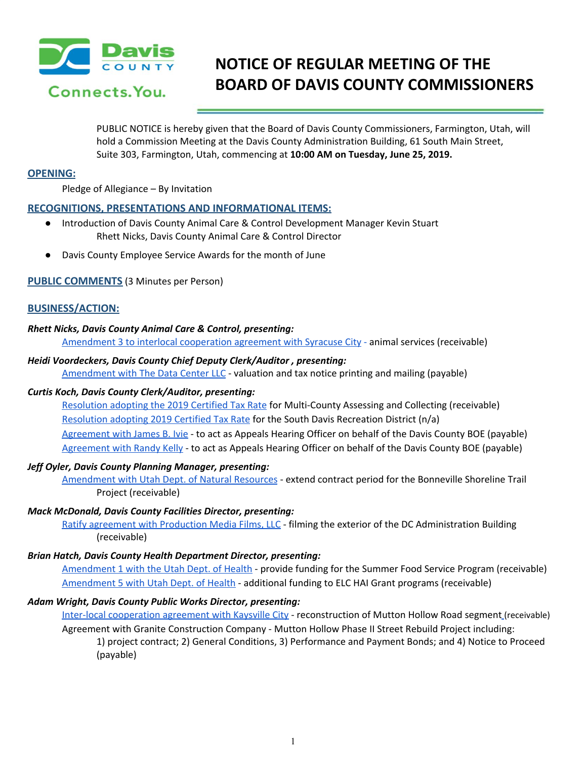

# **NOTICE OF REGULAR MEETING OF THE BOARD OF DAVIS COUNTY COMMISSIONERS**

PUBLIC NOTICE is hereby given that the Board of Davis County Commissioners, Farmington, Utah, will hold a Commission Meeting at the Davis County Administration Building, 61 South Main Street, Suite 303, Farmington, Utah, commencing at **10:00 AM on Tuesday, June 25, 2019.**

## **OPENING:**

Pledge of Allegiance – By Invitation

## **RECOGNITIONS, PRESENTATIONS AND INFORMATIONAL ITEMS:**

- Introduction of Davis County Animal Care & Control Development Manager Kevin Stuart Rhett Nicks, Davis County Animal Care & Control Director
- Davis County Employee Service Awards for the month of June

## **PUBLIC COMMENTS** (3 Minutes per Person)

## **BUSINESS/ACTION:**

### *Rhett Nicks, Davis County Animal Care & Control, presenting:*

[Amendment](https://drive.google.com/a/co.davis.ut.us/file/d/1pADsmjfm-kgteg80bpKPynJtby41DnvA/view?usp=drivesdk) 3 to interlocal cooperation agreement with Syracuse City [-](https://drive.google.com/a/co.davis.ut.us/file/d/1pADsmjfm-kgteg80bpKPynJtby41DnvA/view?usp=drivesdk) animal services [\(receivable\)](https://drive.google.com/a/co.davis.ut.us/file/d/1pADsmjfm-kgteg80bpKPynJtby41DnvA/view?usp=drivesdk)

### *Heidi Voordeckers, Davis County Chief Deputy Clerk/Auditor , presenting:*

[Amendment](https://drive.google.com/a/co.davis.ut.us/file/d/1cN44vMud0_b5NWWEsPgboD-NFnkfI23M/view?usp=drivesdk) with The Data Center LLC - valuation and tax notice printing and mailing (payable)

#### *Curtis Koch, Davis County Clerk/Auditor, presenting:*

[Resolution](https://drive.google.com/a/co.davis.ut.us/file/d/1hooJn5JKQAlfezP6jj3262zdgTnRWJLg/view?usp=drivesdk) adopting the 2019 Certified Tax Rate for [Multi-County](https://drive.google.com/a/co.davis.ut.us/file/d/1hooJn5JKQAlfezP6jj3262zdgTnRWJLg/view?usp=drivesdk) Assessing and Collecting (receivable) [Resolution](https://drive.google.com/a/co.davis.ut.us/file/d/1QDVV4mPlR0n8TFRy0azHOhuVvLnykWOe/view?usp=drivesdk) adopting 2019 Certified Tax Rat[e](https://drive.google.com/a/co.davis.ut.us/file/d/1QDVV4mPlR0n8TFRy0azHOhuVvLnykWOe/view?usp=drivesdk) for the South Davis [Recreation](https://drive.google.com/a/co.davis.ut.us/file/d/1QDVV4mPlR0n8TFRy0azHOhuVvLnykWOe/view?usp=drivesdk) District (n/a) [Agreement](https://drive.google.com/a/co.davis.ut.us/file/d/1yRdsHaXn-Rry5vrt24AXU5esB6z8lYWx/view?usp=drivesdk) with James B. Ivie - to act as Appeals Hearing Officer on behalf of the Davis County BOE [\(payable\)](https://drive.google.com/a/co.davis.ut.us/file/d/1yRdsHaXn-Rry5vrt24AXU5esB6z8lYWx/view?usp=drivesdk) [Agreement](https://drive.google.com/a/co.davis.ut.us/file/d/1kNcwlG_5HAnhhF6M8PCm-Tr2g02Ej-eD/view?usp=drivesdk) with Randy Kelly - to act as Appeals Hearing Officer on behalf of the Davis County BOE [\(payable\)](https://drive.google.com/a/co.davis.ut.us/file/d/1kNcwlG_5HAnhhF6M8PCm-Tr2g02Ej-eD/view?usp=drivesdk)

#### *Jeff Oyler, Davis County Planning Manager, presenting:*

[Amendment](https://drive.google.com/a/co.davis.ut.us/file/d/1ljq5sFJeILhuy84Fx7dDrDMSeWwdApYR/view?usp=drivesdk) with Utah Dept. of Natural Resources - extend contract period for the Bonneville Shoreline Trail Project (receivable)

## *Mack McDonald, Davis County Facilities Director, presenting:*

Ratify agreement with [Production](https://drive.google.com/a/co.davis.ut.us/file/d/1YmZh7LJ4atKHnEiu3szAGPS-rxfOXFYY/view?usp=drivesdk) Media Films, LLC - filming the exterior of the DC [Administration](https://drive.google.com/a/co.davis.ut.us/file/d/1YmZh7LJ4atKHnEiu3szAGPS-rxfOXFYY/view?usp=drivesdk) Building [\(receivable\)](https://drive.google.com/a/co.davis.ut.us/file/d/1YmZh7LJ4atKHnEiu3szAGPS-rxfOXFYY/view?usp=drivesdk)

#### *Brian Hatch, Davis County Health Department Director, presenting:*

[Amendment](https://drive.google.com/a/co.davis.ut.us/file/d/11HAyQWH2w-X7uzUjS6vJT2sLd75FXaAU/view?usp=drivesdk) 1 with the Utah Dept. of Health - provide funding for the Summer Food Service Program [\(receivable\)](https://drive.google.com/a/co.davis.ut.us/file/d/11HAyQWH2w-X7uzUjS6vJT2sLd75FXaAU/view?usp=drivesdk) [Amendment](https://drive.google.com/a/co.davis.ut.us/file/d/1EPzyfUH6uIIRMbMX138CgF4BCXa-TC4b/view?usp=drivesdk) 5 with Utah Dept. of Health - additional funding to ELC HAI Grant programs [\(receivable\)](https://drive.google.com/a/co.davis.ut.us/file/d/1EPzyfUH6uIIRMbMX138CgF4BCXa-TC4b/view?usp=drivesdk)

## *Adam Wright, Davis County Public Works Director, presenting:*

Inter-local [cooperation](https://drive.google.com/a/co.davis.ut.us/file/d/1Ohdpa86Gxyd3pl6ZEGEDrBDNoa1NOKEp/view?usp=drivesdk) agreement with Kaysville City - [reconstruction](https://drive.google.com/a/co.davis.ut.us/file/d/1Ohdpa86Gxyd3pl6ZEGEDrBDNoa1NOKEp/view?usp=drivesdk) of Mutton Hollow Road segment (receivable) Agreement with Granite Construction Company - Mutton Hollow Phase II Street Rebuild Project including: 1) project contract; 2) General Conditions, 3) Performance and Payment Bonds; and 4) Notice to Proceed (payable)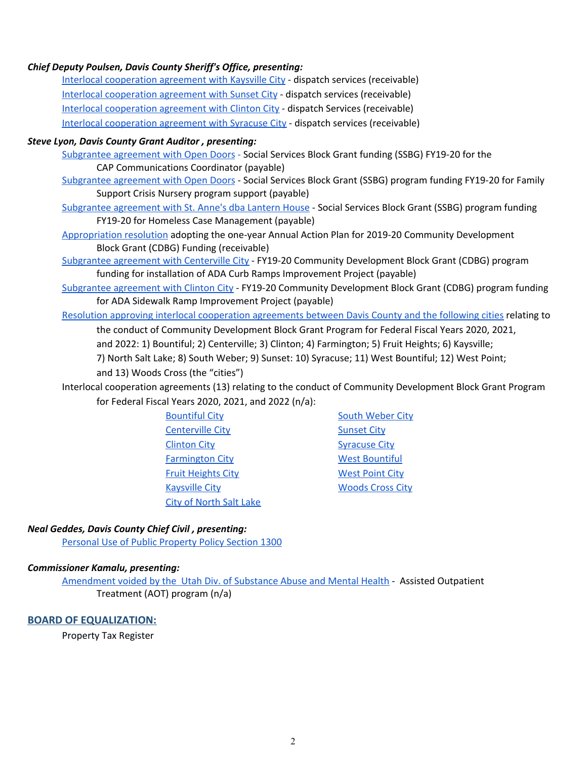## *Chief Deputy Poulsen, Davis County Sheriff's Office, presenting:*

Interlocal [cooperation](https://drive.google.com/a/co.davis.ut.us/file/d/1xtRmNYPpys_GagGG4npspgEoibQ--kU7/view?usp=drivesdk) agreement with Kaysville City - dispatch services [\(receivable\)](https://drive.google.com/a/co.davis.ut.us/file/d/1xtRmNYPpys_GagGG4npspgEoibQ--kU7/view?usp=drivesdk) Interlocal [cooperation](https://drive.google.com/a/co.davis.ut.us/file/d/1HqPLqFeDCPc1TGFnT10AdsN40QED-4va/view?usp=drivesdk) agreement with Sunset City - dispatch services [\(receivable\)](https://drive.google.com/a/co.davis.ut.us/file/d/1HqPLqFeDCPc1TGFnT10AdsN40QED-4va/view?usp=drivesdk) Interlocal [cooperation](https://drive.google.com/a/co.davis.ut.us/file/d/1Wz8bdULIeS3RNwH60Z6JbxW4oJQ76G3n/view?usp=drivesdk) agreement with Clinton City - dispatch Services [\(receivable\)](https://drive.google.com/a/co.davis.ut.us/file/d/1Wz8bdULIeS3RNwH60Z6JbxW4oJQ76G3n/view?usp=drivesdk) Interlocal [cooperation](https://drive.google.com/a/co.davis.ut.us/file/d/1nBfHLDK5wrBUKDQGi3RSf0b8jDnJZ6IN/view?usp=drivesdk) agreement with Syracuse City - dispatch services [\(receivable\)](https://drive.google.com/a/co.davis.ut.us/file/d/1nBfHLDK5wrBUKDQGi3RSf0b8jDnJZ6IN/view?usp=drivesdk)

#### *Steve Lyon, Davis County Grant Auditor , presenting:*

[Subgrantee](https://drive.google.com/a/co.davis.ut.us/file/d/1j1Q5xi7gxL8BFbxPGqVMoLFilJHncYDd/view?usp=drivesdk) agreement with Open Doors [-](https://drive.google.com/a/co.davis.ut.us/file/d/1j1Q5xi7gxL8BFbxPGqVMoLFilJHncYDd/view?usp=drivesdk) Social [Services](https://drive.google.com/a/co.davis.ut.us/file/d/1j1Q5xi7gxL8BFbxPGqVMoLFilJHncYDd/view?usp=drivesdk) Block Grant funding (SSBG) FY19-20 for the CAP [Communications](https://drive.google.com/a/co.davis.ut.us/file/d/1j1Q5xi7gxL8BFbxPGqVMoLFilJHncYDd/view?usp=drivesdk) Coordinator (payable)

[Subgrantee](https://drive.google.com/a/co.davis.ut.us/file/d/1QT8b0UYWxbCy-1tqJ1-mRFTWk7HM_chg/view?usp=drivesdk) agreement with Open Doors - Social Services Block Grant (SSBG) [program](https://drive.google.com/a/co.davis.ut.us/file/d/1QT8b0UYWxbCy-1tqJ1-mRFTWk7HM_chg/view?usp=drivesdk) funding FY19-20 for Family Support Crisis Nursery program support [\(payable\)](https://drive.google.com/a/co.davis.ut.us/file/d/1QT8b0UYWxbCy-1tqJ1-mRFTWk7HM_chg/view?usp=drivesdk)

[Subgrantee](https://drive.google.com/a/co.davis.ut.us/file/d/12EDSToqgJGknlMBXVb7Swxxf8u6Y-9tv/view?usp=drivesdk) agreement with St. Anne's dba Lantern House - Social Services Block Grant (SSBG) [program](https://drive.google.com/a/co.davis.ut.us/file/d/12EDSToqgJGknlMBXVb7Swxxf8u6Y-9tv/view?usp=drivesdk) funding FY19-20 for Homeless Case [Management](https://drive.google.com/a/co.davis.ut.us/file/d/12EDSToqgJGknlMBXVb7Swxxf8u6Y-9tv/view?usp=drivesdk) (payable)

[Appropriation](https://drive.google.com/a/co.davis.ut.us/file/d/1GDHesaoaCSi6NRSSXNBKZ6DfMTEdqSkx/view?usp=drivesdk) resolution adopting the one-year Annual Action Plan for 2019-20 Community [Development](https://drive.google.com/a/co.davis.ut.us/file/d/1GDHesaoaCSi6NRSSXNBKZ6DfMTEdqSkx/view?usp=drivesdk) Block Grant (CDBG) [Funding](https://drive.google.com/a/co.davis.ut.us/file/d/1GDHesaoaCSi6NRSSXNBKZ6DfMTEdqSkx/view?usp=drivesdk) (receivable)

[Subgrantee](https://drive.google.com/a/co.davis.ut.us/file/d/1Utvy3VmqJwS6W6h6ki0H_jDo0SzgJTQr/view?usp=drivesdk) agreement with Centerville City - FY19-20 Community [Development](https://drive.google.com/a/co.davis.ut.us/file/d/1Utvy3VmqJwS6W6h6ki0H_jDo0SzgJTQr/view?usp=drivesdk) Block Grant (CDBG) program funding for installation of ADA Curb Ramps [Improvement](https://drive.google.com/a/co.davis.ut.us/file/d/1Utvy3VmqJwS6W6h6ki0H_jDo0SzgJTQr/view?usp=drivesdk) Project (payable)

[Subgrantee](https://drive.google.com/a/co.davis.ut.us/file/d/1BYy6eOw4KLsjP6sLhlOmhmcBxi1To8rW/view?usp=drivesdk) agreement with Clinton City - FY19-20 Community [Development](https://drive.google.com/a/co.davis.ut.us/file/d/1BYy6eOw4KLsjP6sLhlOmhmcBxi1To8rW/view?usp=drivesdk) Block Grant (CDBG) program funding for ADA Sidewalk Ramp [Improvement](https://drive.google.com/a/co.davis.ut.us/file/d/1BYy6eOw4KLsjP6sLhlOmhmcBxi1To8rW/view?usp=drivesdk) Project (payable)

Resolution approving interlocal [cooperation](https://drive.google.com/a/co.davis.ut.us/file/d/1yzIjufyEH46miwnHFWhr0eSmvQfdbvov/view?usp=drivesdk) agreements between Davis County and the following cities [relating](https://drive.google.com/a/co.davis.ut.us/file/d/1yzIjufyEH46miwnHFWhr0eSmvQfdbvov/view?usp=drivesdk) to the conduct of Community [Development](https://drive.google.com/a/co.davis.ut.us/file/d/1yzIjufyEH46miwnHFWhr0eSmvQfdbvov/view?usp=drivesdk) Block Grant Program for Federal Fiscal Years 2020, 2021,

and 2022: 1) Bountiful; 2) Centerville; 3) Clinton; 4) Farmington; 5) Fruit Heights; 6) Kaysville;

7) North Salt Lake; 8) South Weber; 9) Sunset: 10) Syracuse; 11) West Bountiful; 12) West Point; and 13) Woods Cross (the "cities")

Interlocal cooperation agreements (13) relating to the conduct of Community Development Block Grant Program for Federal Fiscal Years 2020, 2021, and 2022 (n/a):

> [Bountiful](https://drive.google.com/a/co.davis.ut.us/file/d/11F5nr7Miq0BWWsXIEBLekWUchqGfEb3A/view?usp=drivesdk) Cit[y](https://drive.google.com/a/co.davis.ut.us/file/d/11F5nr7Miq0BWWsXIEBLekWUchqGfEb3A/view?usp=drivesdk) **South [Weber](https://drive.google.com/a/co.davis.ut.us/file/d/1B8i207pABU_BpUp_yyEKYnIDGFD7-O3n/view?usp=drivesdk) City** [Centerville](https://drive.google.com/a/co.davis.ut.us/file/d/1wia8sZZkmT8TbtMPWLvtHvNF4Eae8t_w/view?usp=drivesdk) City **[Sunset](https://drive.google.com/a/co.davis.ut.us/file/d/1eREbqP97GR5IIGZXtxRtXawEz_nFMyRa/view?usp=drivesdk) City** [Clinton](https://drive.google.com/a/co.davis.ut.us/file/d/1nVIQf97-lc_K0wGicKlZkBMIyEEvlcQo/view?usp=drivesdk) City **[Syracuse](https://drive.google.com/a/co.davis.ut.us/file/d/1sTkKRKgZBbl5Wl9ttRiPQXpg4FJ1T431/view?usp=drivesdk) City** Syracuse City [Farmington](https://drive.google.com/a/co.davis.ut.us/file/d/1dxYjO-hUQeLE3moLScbJ4WVcpVlcMJ67/view?usp=drivesdk) City West [Bountiful](https://drive.google.com/a/co.davis.ut.us/file/d/128MUX6eztvVMh0JgZ_Y9HDmaUBzzNw3B/view?usp=drivesdk) **Fruit [Heights](https://drive.google.com/a/co.davis.ut.us/file/d/1kNiGl_ZWF8_2ptNx8Z0F47ahyK-ej9BG/view?usp=drivesdk) City** West [Point](https://drive.google.com/a/co.davis.ut.us/file/d/1L22lCbDvqGj96c1DJr_7dXkIN91BIt6y/view?usp=drivesdk) City [Kaysville](https://drive.google.com/a/co.davis.ut.us/file/d/1lPZX77h13JMpYxKQu-mAIcNszserSb4A/view?usp=drivesdk) City **[Woods](https://drive.google.com/a/co.davis.ut.us/file/d/1CByPiRd-fTQeUX4cbO3VbZnJdQcBHEEP/view?usp=drivesdk) Cross City** City of [North](https://drive.google.com/a/co.davis.ut.us/file/d/1qlozTa4QjW0nIO2S5fNvMiworaYfNsGu/view?usp=drivesdk) Salt Lake

## *Neal Geddes, Davis County Chief Civil , presenting:*

Personal Use of Public [Property](https://drive.google.com/a/co.davis.ut.us/file/d/12tAj8sTbN9MURx6mXM_o5FAvGjmwfVCP/view?usp=drivesdk) Policy Section 1300

#### *Commissioner Kamalu, presenting:*

[Amendment](https://drive.google.com/a/co.davis.ut.us/file/d/1FMtoj37P9LuGOF96MK2zzDbaPdhFJJQA/view?usp=drivesdk) voided by the Utah Div. of Substance Abuse and Mental Health - Assisted [Outpatient](https://drive.google.com/a/co.davis.ut.us/file/d/1FMtoj37P9LuGOF96MK2zzDbaPdhFJJQA/view?usp=drivesdk) [Treatment](https://drive.google.com/a/co.davis.ut.us/file/d/1FMtoj37P9LuGOF96MK2zzDbaPdhFJJQA/view?usp=drivesdk) (AOT) program (n/a)

#### **BOARD OF EQUALIZATION:**

Property Tax Register